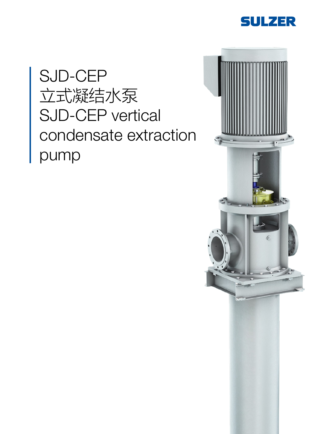

# SJD-CEP 立式凝结水泵 SJD-CEP vertical condensate extraction pump

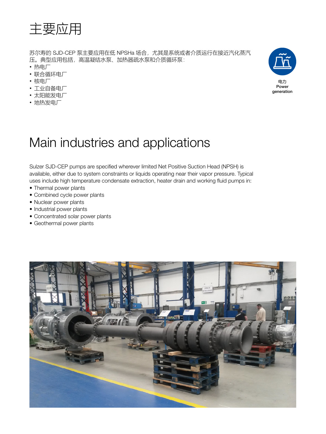

苏尔寿的 SJD-CEP 泵主要应用在低 NPSHa 场合, 尤其是系统或者介质运行在接近汽化蒸汽 压。典型应用包括,高温凝结水泵、加热器疏水泵和介质循环泵:

- 热电厂
- 联合循环电厂
- 核电厂
- 工业自备电厂
- 太阳能发电厂
- 地热发电厂



### Main industries and applications

Sulzer SJD-CEP pumps are specified wherever limited Net Positive Suction Head (NPSH) is available, either due to system constraints or liquids operating near their vapor pressure. Typical uses include high temperature condensate extraction, heater drain and working fluid pumps in:

- Thermal power plants
- Combined cycle power plants
- Nuclear power plants
- Industrial power plants
- Concentrated solar power plants
- Geothermal power plants

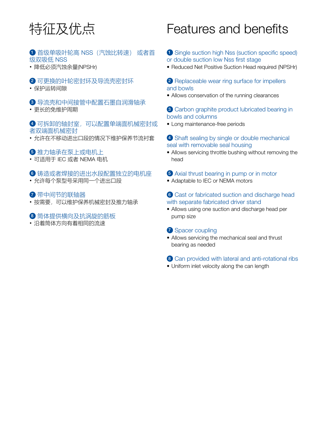## 特征及优点

#### 1 首级单吸叶轮高 NSS(汽蚀比转速) 或者首 级双吸低 NSS

• 降低必须汽蚀余量(NPSHr)

#### 2 可更换的叶轮密封环及导流壳密封环

• 保护运转间隙

3 导流壳和中间接管中配置石墨自润滑轴承

• 更长的免维护周期

4 可拆卸的轴封室,可以配置单端面机械密封或 者双端面机械密封

• 允许在不移动进出口段的情况下维护保养节流衬套

### 5 推力轴承在泵上或电机上

• 可适用于 IEC 或者 NEMA 电机

#### 6 铸造或者焊接的进出水段配置独立的电机座

• 允许每个泵型号采用同一个进出口段

#### ■ 带中间节的联轴器

• 按需要,可以维护保养机械密封及推力轴承

#### 8 筒体提供横向及抗涡旋的筋板

• 沿着筒体方向有着相同的流速

### Features and benefits

#### **1** Single suction high Nss (suction specific speed) or double suction low Nss first stage

• Reduced Net Positive Suction Head required (NPSHr)

#### 2 Replaceable wear ring surface for impellers and bowls

• Allows conservation of the running clearances

#### 3 Carbon graphite product lubricated bearing in bowls and columns

• Long maintenance-free periods

#### 4 Shaft sealing by single or double mechanical seal with removable seal housing

• Allows servicing throttle bushing without removing the head

### 5 Axial thrust bearing in pump or in motor

• Adaptable to IEC or NEMA motors

#### 6 Cast or fabricated suction and discharge head with separate fabricated driver stand

• Allows using one suction and discharge head per pump size

#### **7** Spacer coupling

• Allows servicing the mechanical seal and thrust bearing as needed

#### 8 Can provided with lateral and anti-rotational ribs

• Uniform inlet velocity along the can length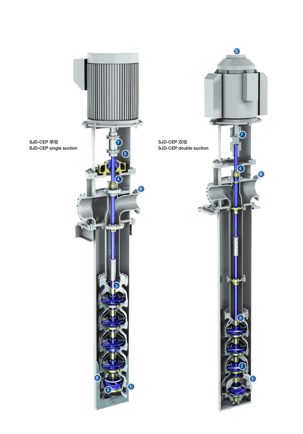

SJD-CEP 单吸 SJD-CEP single suction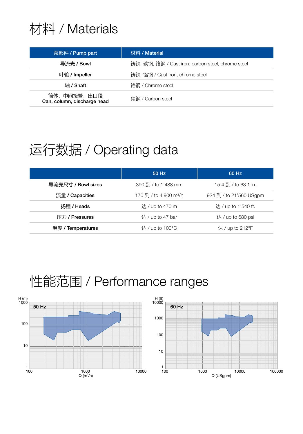### 材料 / Materials

| 泵部件 / Pump part                            | 材料 / Material                                      |  |
|--------------------------------------------|----------------------------------------------------|--|
| 导流壳 / Bowl                                 | 铸铁, 碳钢, 铬钢 / Cast iron, carbon steel, chrome steel |  |
| 叶轮 / Impeller                              | 铸铁, 铬钢 / Cast Iron, chrome steel                   |  |
| 轴 / Shaft                                  | 铬钢 / Chrome steel                                  |  |
| 筒体,中间接管,出口段<br>Can, column, discharge head | 碳钢 / Carbon steel                                  |  |

### 运行数据 / Operating data

|                    | 50 Hz                              | 60 Hz                   |
|--------------------|------------------------------------|-------------------------|
| 导流壳尺寸 / Bowl sizes | 390 到 / to 1'488 mm                | 15.4 到 / to 63.1 in.    |
| 流量 / Capacities    | 170 到 / to 4'900 m <sup>3</sup> /h | 924 到 / to 21'560 USgpm |
| 扬程 / Heads         | 达 / up to 470 m                    | 达 / up to 1'540 ft.     |
| 压力 / Pressures     | 达/up to 47 bar                     | 达/up to 680 psi         |
| 温度 / Temperatures  | 达/up to $100^{\circ}$ C            | 达/up to $212^{\circ}F$  |

### 性能范围 / Performance ranges